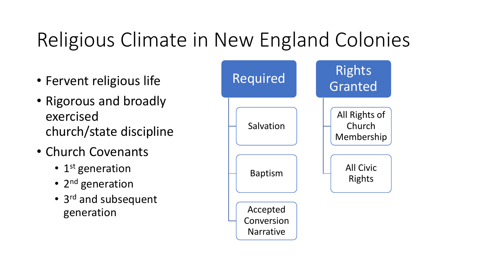### Religious Climate in New England Colonies

- Fervent religious life
- Rigorous and broadly exercised church/state discipline
- Church Covenants
	- 1<sup>st</sup> generation
	- 2<sup>nd</sup> generation
	- 3<sup>rd</sup> and subsequent generation

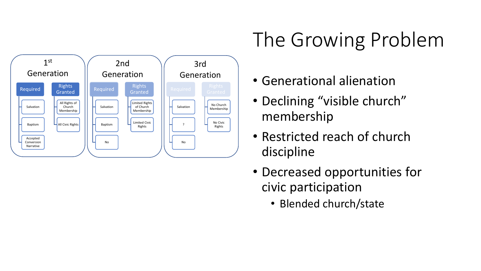

## The Growing Problem

- Generational alienation
- Declining "visible church" membership
- Restricted reach of church discipline
- Decreased opportunities for civic participation
	- Blended church/state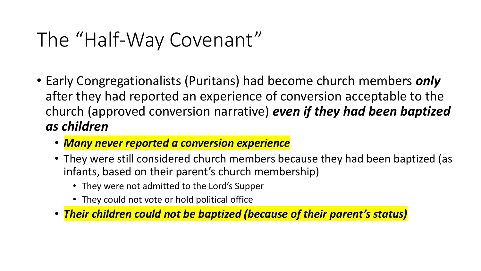#### The "Half-Way Covenant"

- Early Congregationalists (Puritans) had become church members *only* after they had reported an experience of conversion acceptable to the church (approved conversion narrative) *even if they had been baptized as children*
	- *Many never reported a conversion experience*
	- They were still considered church members because they had been baptized (as infants, based on their parent's church membership)
		- They were not admitted to the Lord's Supper
		- They could not vote or hold political office
	- *Their children could not be baptized (because of their parent's status)*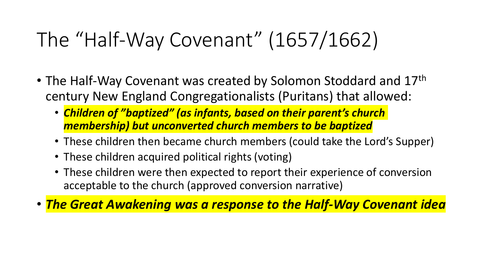### The "Half-Way Covenant" (1657/1662)

- The Half-Way Covenant was created by Solomon Stoddard and 17<sup>th</sup> century New England Congregationalists (Puritans) that allowed:
	- *Children of "baptized" (as infants, based on their parent's church membership) but unconverted church members to be baptized*
	- These children then became church members (could take the Lord's Supper)
	- These children acquired political rights (voting)
	- These children were then expected to report their experience of conversion acceptable to the church (approved conversion narrative)

• *The Great Awakening was a response to the Half-Way Covenant idea*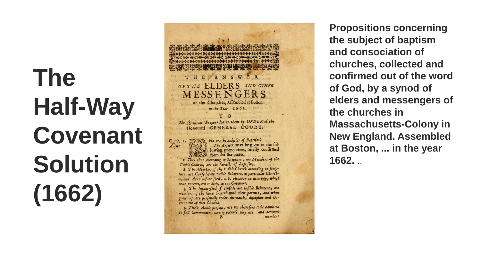# **The Half -Way Covenant Solution (1662)**



**Propositions concerning the subject of baptism and consociation of churches, collected and confirmed out of the word of God, by a synod of elders and messengers of the churches in Massachusetts -Colony in New England. Assembled at Boston, ... in the year 1662.** ..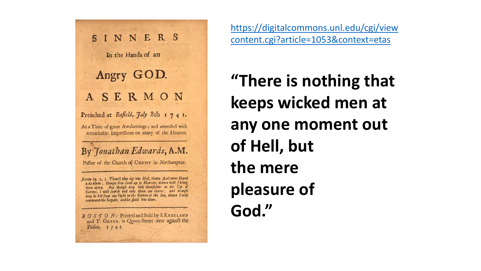

[https://digitalcommons.unl.edu/cgi/view](https://digitalcommons.unl.edu/cgi/viewcontent.cgi?article=1053&context=etas) content.cgi?article=1053&context=etas

**"There is nothing that keeps wicked men at any one moment out of Hell, but the mere pleasure of God."**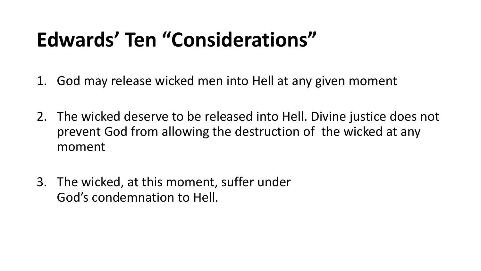- 1. God may release wicked men into Hell at any given moment
- 2. The wicked deserve to be released into Hell. Divine justice does not prevent God from allowing the destruction of the wicked at any moment
- 3. The wicked, at this moment, suffer under God's condemnation to Hell.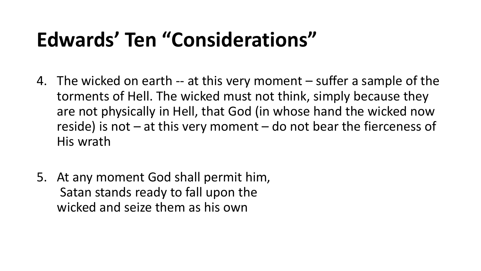- 4. The wicked on earth -- at this very moment suffer a sample of the torments of Hell. The wicked must not think, simply because they are not physically in Hell, that God (in whose hand the wicked now reside) is not  $-$  at this very moment  $-$  do not bear the fierceness of His wrath
- 5. At any moment God shall permit him, Satan stands ready to fall upon the wicked and seize them as his own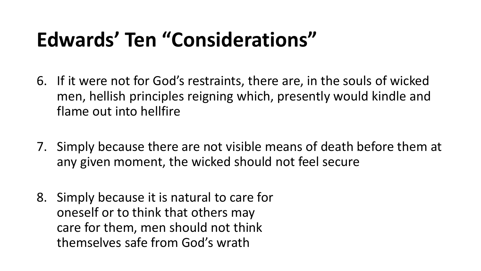- 6. If it were not for God's restraints, there are, in the souls of wicked men, hellish principles reigning which, presently would kindle and flame out into hellfire
- 7. Simply because there are not visible means of death before them at any given moment, the wicked should not feel secure
- 8. Simply because it is natural to care for oneself or to think that others may care for them, men should not think themselves safe from God's wrath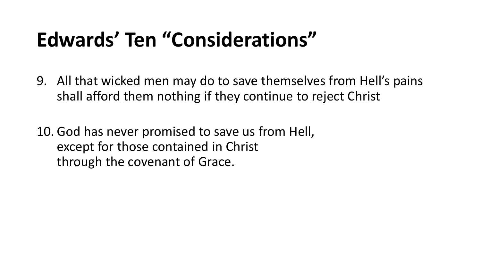9. All that wicked men may do to save themselves from Hell's pains shall afford them nothing if they continue to reject Christ

10. God has never promised to save us from Hell, except for those contained in Christ through the covenant of Grace.